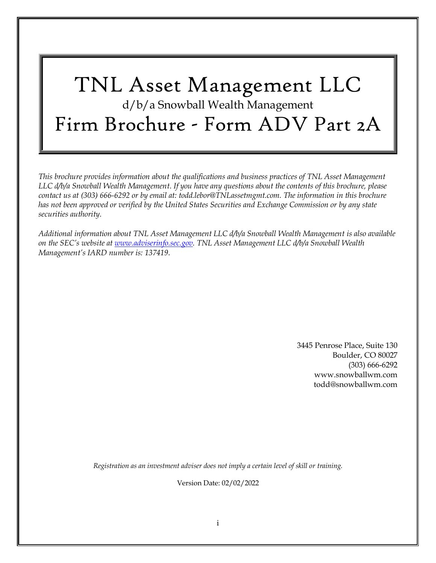# TNL Asset Management LLC d/b/a Snowball Wealth Management Firm Brochure - Form ADV Part 2A

*This brochure provides information about the qualifications and business practices of TNL Asset Management LLC d/b/a Snowball Wealth Management. If you have any questions about the contents of this brochure, please contact us at (303) 666-6292 or by email at: todd.lebor@TNLassetmgmt.com. The information in this brochure has not been approved or verified by the United States Securities and Exchange Commission or by any state securities authority.*

*Additional information about TNL Asset Management LLC d/b/a Snowball Wealth Management is also available on the SEC's website at [www.adviserinfo.sec.gov.](http://www.adviserinfo.sec.gov/) TNL Asset Management LLC d/b/a Snowball Wealth Management's IARD number is: 137419*.

> 3445 Penrose Place, Suite 130 Boulder, CO 80027 (303) 666-6292 [www.snowballwm.com](http://www.snowballwm.com/) [todd@snowballwm.com](mailto:todd@snowballwm.com)

*Registration as an investment adviser does not imply a certain level of skill or training.*

Version Date: 02/02/2022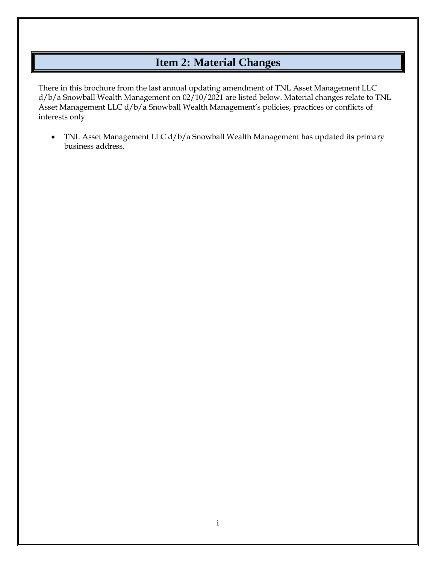## **Item 2: Material Changes**

<span id="page-1-0"></span>There in this brochure from the last annual updating amendment of TNL Asset Management LLC d/b/a Snowball Wealth Management on 02/10/2021 are listed below. Material changes relate to TNL Asset Management LLC d/b/a Snowball Wealth Management's policies, practices or conflicts of interests only.

• TNL Asset Management LLC d/b/a Snowball Wealth Management has updated its primary business address.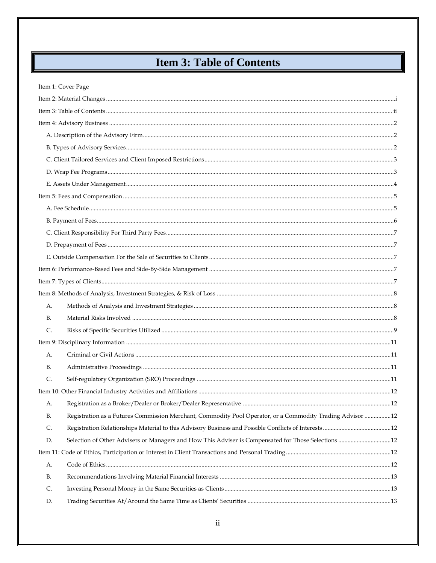# **Item 3: Table of Contents**

L.

<span id="page-2-0"></span>

|           | Item 1: Cover Page                                                                                        |  |
|-----------|-----------------------------------------------------------------------------------------------------------|--|
|           |                                                                                                           |  |
|           |                                                                                                           |  |
|           |                                                                                                           |  |
|           |                                                                                                           |  |
|           |                                                                                                           |  |
|           |                                                                                                           |  |
|           |                                                                                                           |  |
|           |                                                                                                           |  |
|           |                                                                                                           |  |
|           |                                                                                                           |  |
|           |                                                                                                           |  |
|           |                                                                                                           |  |
|           |                                                                                                           |  |
|           |                                                                                                           |  |
|           |                                                                                                           |  |
|           |                                                                                                           |  |
|           |                                                                                                           |  |
| А.        |                                                                                                           |  |
| <b>B.</b> |                                                                                                           |  |
| C.        |                                                                                                           |  |
|           |                                                                                                           |  |
| A.        |                                                                                                           |  |
| В.        |                                                                                                           |  |
| C.        |                                                                                                           |  |
|           |                                                                                                           |  |
|           |                                                                                                           |  |
| В.        | Registration as a Futures Commission Merchant, Commodity Pool Operator, or a Commodity Trading Advisor 12 |  |
| C.        |                                                                                                           |  |
| D.        |                                                                                                           |  |
|           |                                                                                                           |  |
| A.        |                                                                                                           |  |
| В.        |                                                                                                           |  |
| C.        |                                                                                                           |  |
| D.        |                                                                                                           |  |
|           |                                                                                                           |  |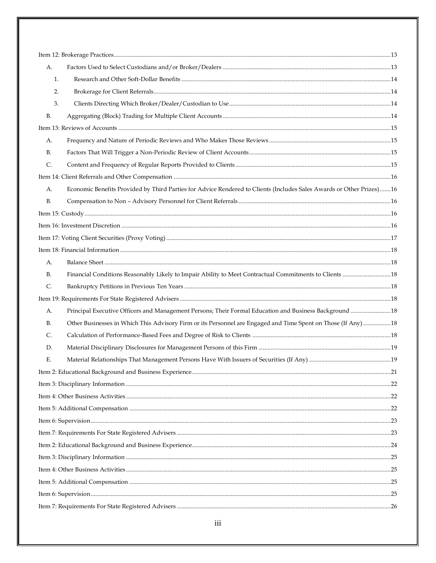| А.                                                                                                                         |  |  |
|----------------------------------------------------------------------------------------------------------------------------|--|--|
| 1.                                                                                                                         |  |  |
| 2.                                                                                                                         |  |  |
| 3.                                                                                                                         |  |  |
| В.                                                                                                                         |  |  |
|                                                                                                                            |  |  |
| А.                                                                                                                         |  |  |
| В.                                                                                                                         |  |  |
| $\mathsf{C}$ .                                                                                                             |  |  |
|                                                                                                                            |  |  |
| Economic Benefits Provided by Third Parties for Advice Rendered to Clients (Includes Sales Awards or Other Prizes)16<br>А. |  |  |
| В.                                                                                                                         |  |  |
|                                                                                                                            |  |  |
|                                                                                                                            |  |  |
|                                                                                                                            |  |  |
|                                                                                                                            |  |  |
| А.                                                                                                                         |  |  |
| Financial Conditions Reasonably Likely to Impair Ability to Meet Contractual Commitments to Clients  18<br>В.              |  |  |
| C.                                                                                                                         |  |  |
|                                                                                                                            |  |  |
| Principal Executive Officers and Management Persons; Their Formal Education and Business Background 18<br>А.               |  |  |
| Other Businesses in Which This Advisory Firm or its Personnel are Engaged and Time Spent on Those (If Any)18<br>В.         |  |  |
| C.                                                                                                                         |  |  |
| D.                                                                                                                         |  |  |
| Е.                                                                                                                         |  |  |
|                                                                                                                            |  |  |
|                                                                                                                            |  |  |
|                                                                                                                            |  |  |
|                                                                                                                            |  |  |
|                                                                                                                            |  |  |
|                                                                                                                            |  |  |
|                                                                                                                            |  |  |
|                                                                                                                            |  |  |
|                                                                                                                            |  |  |
|                                                                                                                            |  |  |
|                                                                                                                            |  |  |
|                                                                                                                            |  |  |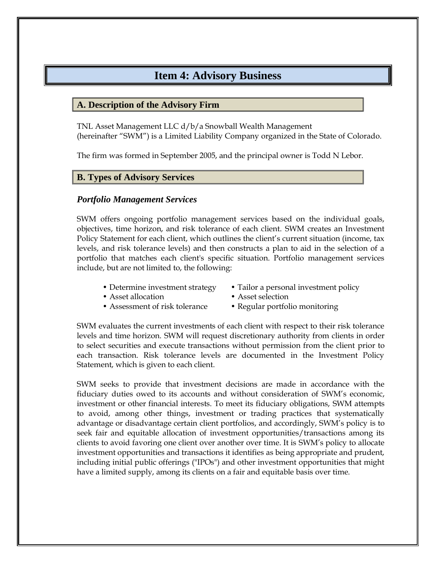### **Item 4: Advisory Business**

#### <span id="page-4-1"></span><span id="page-4-0"></span>**A. Description of the Advisory Firm**

TNL Asset Management LLC d/b/a Snowball Wealth Management (hereinafter "SWM") is a Limited Liability Company organized in the State of Colorado.

The firm was formed in September 2005, and the principal owner is Todd N Lebor.

#### <span id="page-4-2"></span>**B. Types of Advisory Services**

#### *Portfolio Management Services*

SWM offers ongoing portfolio management services based on the individual goals, objectives, time horizon, and risk tolerance of each client. SWM creates an Investment Policy Statement for each client, which outlines the client's current situation (income, tax levels, and risk tolerance levels) and then constructs a plan to aid in the selection of a portfolio that matches each client's specific situation. Portfolio management services include, but are not limited to, the following:

- 
- Determine investment strategy Tailor a personal investment policy
- Asset allocation Asset selection
- Assessment of risk tolerance Regular portfolio monitoring
- -

SWM evaluates the current investments of each client with respect to their risk tolerance levels and time horizon. SWM will request discretionary authority from clients in order to select securities and execute transactions without permission from the client prior to each transaction. Risk tolerance levels are documented in the Investment Policy Statement, which is given to each client.

SWM seeks to provide that investment decisions are made in accordance with the fiduciary duties owed to its accounts and without consideration of SWM's economic, investment or other financial interests. To meet its fiduciary obligations, SWM attempts to avoid, among other things, investment or trading practices that systematically advantage or disadvantage certain client portfolios, and accordingly, SWM's policy is to seek fair and equitable allocation of investment opportunities/transactions among its clients to avoid favoring one client over another over time. It is SWM's policy to allocate investment opportunities and transactions it identifies as being appropriate and prudent, including initial public offerings ("IPOs") and other investment opportunities that might have a limited supply, among its clients on a fair and equitable basis over time.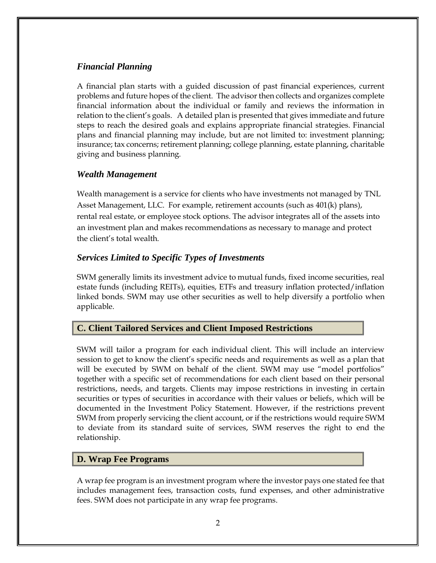#### *Financial Planning*

A financial plan starts with a guided discussion of past financial experiences, current problems and future hopes of the client. The advisor then collects and organizes complete financial information about the individual or family and reviews the information in relation to the client's goals. A detailed plan is presented that gives immediate and future steps to reach the desired goals and explains appropriate financial strategies. Financial plans and financial planning may include, but are not limited to: investment planning; insurance; tax concerns; retirement planning; college planning, estate planning, charitable giving and business planning.

### *Wealth Management*

Wealth management is a service for clients who have investments not managed by TNL Asset Management, LLC. For example, retirement accounts (such as 401(k) plans), rental real estate, or employee stock options. The advisor integrates all of the assets into an investment plan and makes recommendations as necessary to manage and protect the client's total wealth.

### *Services Limited to Specific Types of Investments*

SWM generally limits its investment advice to mutual funds, fixed income securities, real estate funds (including REITs), equities, ETFs and treasury inflation protected/inflation linked bonds. SWM may use other securities as well to help diversify a portfolio when applicable.

### <span id="page-5-0"></span>**C. Client Tailored Services and Client Imposed Restrictions**

SWM will tailor a program for each individual client. This will include an interview session to get to know the client's specific needs and requirements as well as a plan that will be executed by SWM on behalf of the client. SWM may use "model portfolios" together with a specific set of recommendations for each client based on their personal restrictions, needs, and targets. Clients may impose restrictions in investing in certain securities or types of securities in accordance with their values or beliefs, which will be documented in the Investment Policy Statement. However, if the restrictions prevent SWM from properly servicing the client account, or if the restrictions would require SWM to deviate from its standard suite of services, SWM reserves the right to end the relationship.

### <span id="page-5-1"></span>**D. Wrap Fee Programs**

A wrap fee program is an investment program where the investor pays one stated fee that includes management fees, transaction costs, fund expenses, and other administrative fees. SWM does not participate in any wrap fee programs.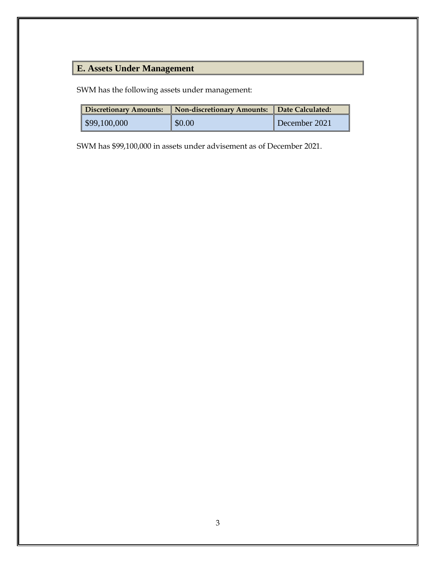# <span id="page-6-0"></span>**E. Assets Under Management**

SWM has the following assets under management:

| <b>Discretionary Amounts:</b> | Non-discretionary Amounts: Date Calculated: |               |
|-------------------------------|---------------------------------------------|---------------|
| $\frac{1}{2}$ \$99,100,000    | \$0.00                                      | December 2021 |

SWM has \$99,100,000 in assets under advisement as of December 2021.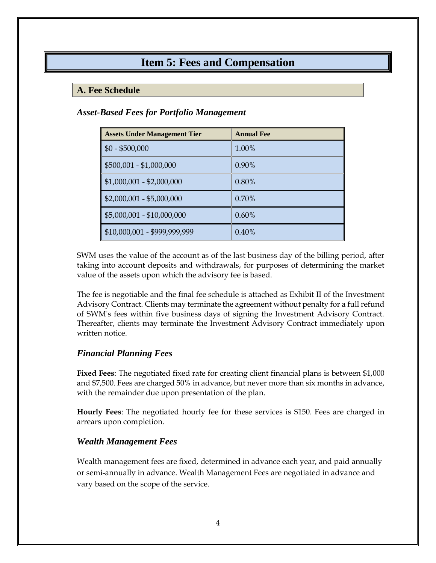### **Item 5: Fees and Compensation**

#### <span id="page-7-1"></span><span id="page-7-0"></span>**A. Fee Schedule**

#### *Asset-Based Fees for Portfolio Management*

| <b>Assets Under Management Tier</b> | <b>Annual Fee</b> |
|-------------------------------------|-------------------|
| $$0 - $500,000$                     | 1.00%             |
| \$500,001 - \$1,000,000             | $0.90\%$          |
| $$1,000,001 - $2,000,000$           | 0.80%             |
| $$2,000,001 - $5,000,000$           | 0.70%             |
| \$5,000,001 - \$10,000,000          | $0.60\%$          |
| \$10,000,001 - \$999,999,999        | 0.40%             |

SWM uses the value of the account as of the last business day of the billing period, after taking into account deposits and withdrawals, for purposes of determining the market value of the assets upon which the advisory fee is based.

The fee is negotiable and the final fee schedule is attached as Exhibit II of the Investment Advisory Contract. Clients may terminate the agreement without penalty for a full refund of SWM's fees within five business days of signing the Investment Advisory Contract. Thereafter, clients may terminate the Investment Advisory Contract immediately upon written notice.

#### *Financial Planning Fees*

**Fixed Fees**: The negotiated fixed rate for creating client financial plans is between \$1,000 and \$7,500. Fees are charged 50% in advance, but never more than six months in advance, with the remainder due upon presentation of the plan.

**Hourly Fees**: The negotiated hourly fee for these services is \$150. Fees are charged in arrears upon completion.

#### *Wealth Management Fees*

Wealth management fees are fixed, determined in advance each year, and paid annually or semi-annually in advance. Wealth Management Fees are negotiated in advance and vary based on the scope of the service.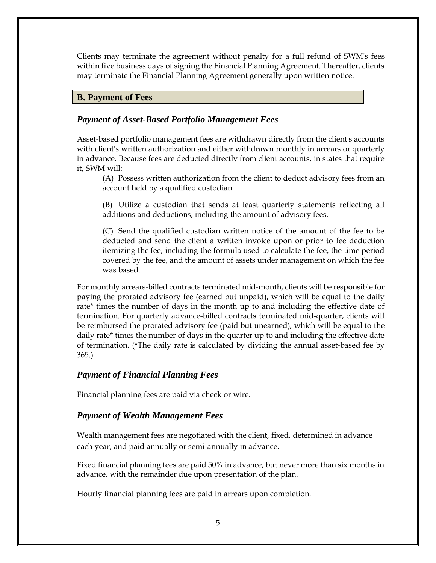Clients may terminate the agreement without penalty for a full refund of SWM's fees within five business days of signing the Financial Planning Agreement. Thereafter, clients may terminate the Financial Planning Agreement generally upon written notice.

#### <span id="page-8-0"></span>**B. Payment of Fees**

#### *Payment of Asset-Based Portfolio Management Fees*

Asset-based portfolio management fees are withdrawn directly from the client's accounts with client's written authorization and either withdrawn monthly in arrears or quarterly in advance. Because fees are deducted directly from client accounts, in states that require it, SWM will:

(A) Possess written authorization from the client to deduct advisory fees from an account held by a qualified custodian.

(B) Utilize a custodian that sends at least quarterly statements reflecting all additions and deductions, including the amount of advisory fees.

(C) Send the qualified custodian written notice of the amount of the fee to be deducted and send the client a written invoice upon or prior to fee deduction itemizing the fee, including the formula used to calculate the fee, the time period covered by the fee, and the amount of assets under management on which the fee was based.

For monthly arrears-billed contracts terminated mid-month, clients will be responsible for paying the prorated advisory fee (earned but unpaid), which will be equal to the daily rate\* times the number of days in the month up to and including the effective date of termination. For quarterly advance-billed contracts terminated mid-quarter, clients will be reimbursed the prorated advisory fee (paid but unearned), which will be equal to the daily rate\* times the number of days in the quarter up to and including the effective date of termination. (\*The daily rate is calculated by dividing the annual asset-based fee by 365.)

#### *Payment of Financial Planning Fees*

Financial planning fees are paid via check or wire.

#### *Payment of Wealth Management Fees*

Wealth management fees are negotiated with the client, fixed, determined in advance each year, and paid annually or semi-annually in advance.

Fixed financial planning fees are paid 50% in advance, but never more than six months in advance, with the remainder due upon presentation of the plan.

Hourly financial planning fees are paid in arrears upon completion.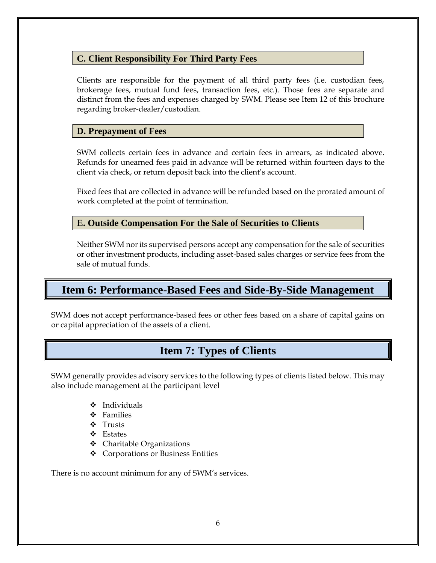### <span id="page-9-0"></span>**C. Client Responsibility For Third Party Fees**

Clients are responsible for the payment of all third party fees (i.e. custodian fees, brokerage fees, mutual fund fees, transaction fees, etc.). Those fees are separate and distinct from the fees and expenses charged by SWM. Please see Item 12 of this brochure regarding broker-dealer/custodian.

### <span id="page-9-1"></span>**D. Prepayment of Fees**

SWM collects certain fees in advance and certain fees in arrears, as indicated above. Refunds for unearned fees paid in advance will be returned within fourteen days to the client via check, or return deposit back into the client's account.

Fixed fees that are collected in advance will be refunded based on the prorated amount of work completed at the point of termination.

### <span id="page-9-2"></span>**E. Outside Compensation For the Sale of Securities to Clients**

Neither SWM nor its supervised persons accept any compensation for the sale of securities or other investment products, including asset-based sales charges or service fees from the sale of mutual funds.

### <span id="page-9-3"></span>**Item 6: Performance-Based Fees and Side-By-Side Management**

<span id="page-9-4"></span>SWM does not accept performance-based fees or other fees based on a share of capital gains on or capital appreciation of the assets of a client.

### **Item 7: Types of Clients**

SWM generally provides advisory services to the following types of clients listed below. This may also include management at the participant level

- ❖ Individuals
- ❖ Families
- ❖ Trusts
- ❖ Estates
- ❖ Charitable Organizations
- ❖ Corporations or Business Entities

There is no account minimum for any of SWM's services.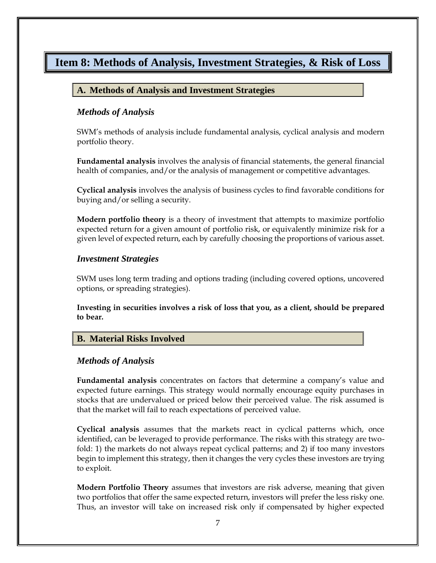### <span id="page-10-1"></span><span id="page-10-0"></span>**Item 8: Methods of Analysis, Investment Strategies, & Risk of Loss**

#### **A. Methods of Analysis and Investment Strategies**

#### *Methods of Analysis*

SWM's methods of analysis include fundamental analysis, cyclical analysis and modern portfolio theory.

**Fundamental analysis** involves the analysis of financial statements, the general financial health of companies, and/or the analysis of management or competitive advantages.

**Cyclical analysis** involves the analysis of business cycles to find favorable conditions for buying and/or selling a security.

**Modern portfolio theory** is a theory of investment that attempts to maximize portfolio expected return for a given amount of portfolio risk, or equivalently minimize risk for a given level of expected return, each by carefully choosing the proportions of various asset.

#### *Investment Strategies*

SWM uses long term trading and options trading (including covered options, uncovered options, or spreading strategies).

**Investing in securities involves a risk of loss that you, as a client, should be prepared to bear.**

#### <span id="page-10-2"></span>**B. Material Risks Involved**

#### *Methods of Analysis*

**Fundamental analysis** concentrates on factors that determine a company's value and expected future earnings. This strategy would normally encourage equity purchases in stocks that are undervalued or priced below their perceived value. The risk assumed is that the market will fail to reach expectations of perceived value.

**Cyclical analysis** assumes that the markets react in cyclical patterns which, once identified, can be leveraged to provide performance. The risks with this strategy are twofold: 1) the markets do not always repeat cyclical patterns; and 2) if too many investors begin to implement this strategy, then it changes the very cycles these investors are trying to exploit.

**Modern Portfolio Theory** assumes that investors are risk adverse, meaning that given two portfolios that offer the same expected return, investors will prefer the less risky one. Thus, an investor will take on increased risk only if compensated by higher expected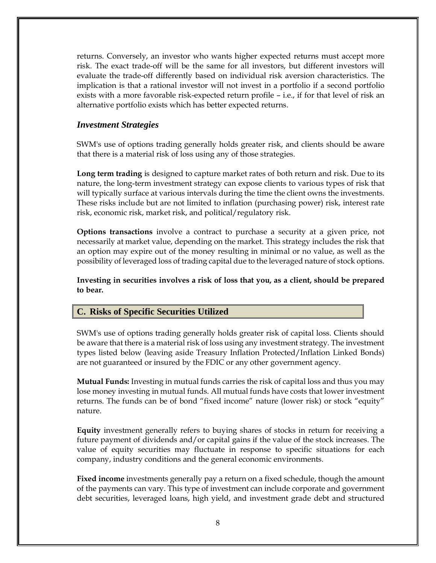returns. Conversely, an investor who wants higher expected returns must accept more risk. The exact trade-off will be the same for all investors, but different investors will evaluate the trade-off differently based on individual risk aversion characteristics. The implication is that a rational investor will not invest in a portfolio if a second portfolio exists with a more favorable risk-expected return profile – i.e., if for that level of risk an alternative portfolio exists which has better expected returns.

#### *Investment Strategies*

SWM's use of options trading generally holds greater risk, and clients should be aware that there is a material risk of loss using any of those strategies.

**Long term trading** is designed to capture market rates of both return and risk. Due to its nature, the long-term investment strategy can expose clients to various types of risk that will typically surface at various intervals during the time the client owns the investments. These risks include but are not limited to inflation (purchasing power) risk, interest rate risk, economic risk, market risk, and political/regulatory risk.

**Options transactions** involve a contract to purchase a security at a given price, not necessarily at market value, depending on the market. This strategy includes the risk that an option may expire out of the money resulting in minimal or no value, as well as the possibility of leveraged loss of trading capital due to the leveraged nature of stock options.

**Investing in securities involves a risk of loss that you, as a client, should be prepared to bear.**

#### <span id="page-11-0"></span>**C. Risks of Specific Securities Utilized**

SWM's use of options trading generally holds greater risk of capital loss. Clients should be aware that there is a material risk of loss using any investment strategy. The investment types listed below (leaving aside Treasury Inflation Protected/Inflation Linked Bonds) are not guaranteed or insured by the FDIC or any other government agency.

**Mutual Funds:** Investing in mutual funds carries the risk of capital loss and thus you may lose money investing in mutual funds. All mutual funds have costs that lower investment returns. The funds can be of bond "fixed income" nature (lower risk) or stock "equity" nature.

**Equity** investment generally refers to buying shares of stocks in return for receiving a future payment of dividends and/or capital gains if the value of the stock increases. The value of equity securities may fluctuate in response to specific situations for each company, industry conditions and the general economic environments.

**Fixed income** investments generally pay a return on a fixed schedule, though the amount of the payments can vary. This type of investment can include corporate and government debt securities, leveraged loans, high yield, and investment grade debt and structured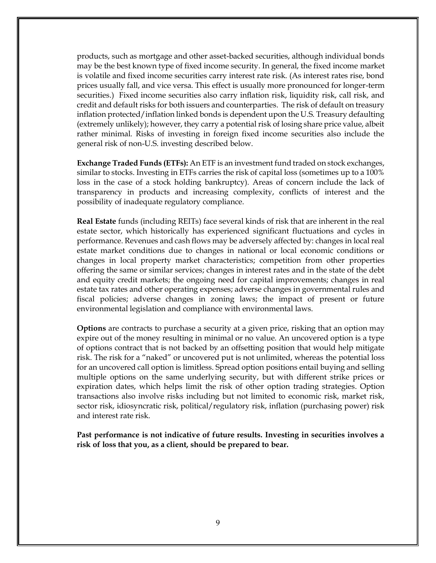products, such as mortgage and other asset-backed securities, although individual bonds may be the best known type of fixed income security. In general, the fixed income market is volatile and fixed income securities carry interest rate risk. (As interest rates rise, bond prices usually fall, and vice versa. This effect is usually more pronounced for longer-term securities.) Fixed income securities also carry inflation risk, liquidity risk, call risk, and credit and default risks for both issuers and counterparties. The risk of default on treasury inflation protected/inflation linked bonds is dependent upon the U.S. Treasury defaulting (extremely unlikely); however, they carry a potential risk of losing share price value, albeit rather minimal. Risks of investing in foreign fixed income securities also include the general risk of non-U.S. investing described below.

**Exchange Traded Funds (ETFs):** An ETF is an investment fund traded on stock exchanges, similar to stocks. Investing in ETFs carries the risk of capital loss (sometimes up to a 100% loss in the case of a stock holding bankruptcy). Areas of concern include the lack of transparency in products and increasing complexity, conflicts of interest and the possibility of inadequate regulatory compliance.

**Real Estate** funds (including REITs) face several kinds of risk that are inherent in the real estate sector, which historically has experienced significant fluctuations and cycles in performance. Revenues and cash flows may be adversely affected by: changes in local real estate market conditions due to changes in national or local economic conditions or changes in local property market characteristics; competition from other properties offering the same or similar services; changes in interest rates and in the state of the debt and equity credit markets; the ongoing need for capital improvements; changes in real estate tax rates and other operating expenses; adverse changes in governmental rules and fiscal policies; adverse changes in zoning laws; the impact of present or future environmental legislation and compliance with environmental laws.

**Options** are contracts to purchase a security at a given price, risking that an option may expire out of the money resulting in minimal or no value. An uncovered option is a type of options contract that is not backed by an offsetting position that would help mitigate risk. The risk for a "naked" or uncovered put is not unlimited, whereas the potential loss for an uncovered call option is limitless. Spread option positions entail buying and selling multiple options on the same underlying security, but with different strike prices or expiration dates, which helps limit the risk of other option trading strategies. Option transactions also involve risks including but not limited to economic risk, market risk, sector risk, idiosyncratic risk, political/regulatory risk, inflation (purchasing power) risk and interest rate risk.

**Past performance is not indicative of future results. Investing in securities involves a risk of loss that you, as a client, should be prepared to bear.**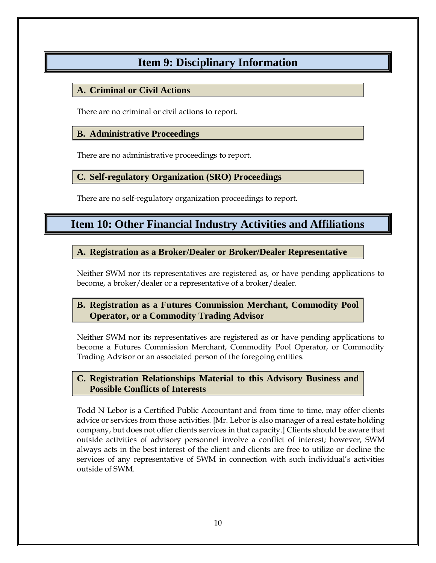# **Item 9: Disciplinary Information**

### <span id="page-13-1"></span><span id="page-13-0"></span>**A. Criminal or Civil Actions**

There are no criminal or civil actions to report.

### <span id="page-13-2"></span>**B. Administrative Proceedings**

There are no administrative proceedings to report.

### <span id="page-13-3"></span>**C. Self-regulatory Organization (SRO) Proceedings**

There are no self-regulatory organization proceedings to report.

### <span id="page-13-4"></span>**Item 10: Other Financial Industry Activities and Affiliations**

### <span id="page-13-5"></span>**A. Registration as a Broker/Dealer or Broker/Dealer Representative**

Neither SWM nor its representatives are registered as, or have pending applications to become, a broker/dealer or a representative of a broker/dealer.

### <span id="page-13-6"></span>**B. Registration as a Futures Commission Merchant, Commodity Pool Operator, or a Commodity Trading Advisor**

Neither SWM nor its representatives are registered as or have pending applications to become a Futures Commission Merchant, Commodity Pool Operator, or Commodity Trading Advisor or an associated person of the foregoing entities.

### <span id="page-13-7"></span>**C. Registration Relationships Material to this Advisory Business and Possible Conflicts of Interests**

Todd N Lebor is a Certified Public Accountant and from time to time, may offer clients advice or services from those activities. [Mr. Lebor is also manager of a real estate holding company, but does not offer clients services in that capacity.] Clients should be aware that outside activities of advisory personnel involve a conflict of interest; however, SWM always acts in the best interest of the client and clients are free to utilize or decline the services of any representative of SWM in connection with such individual's activities outside of SWM.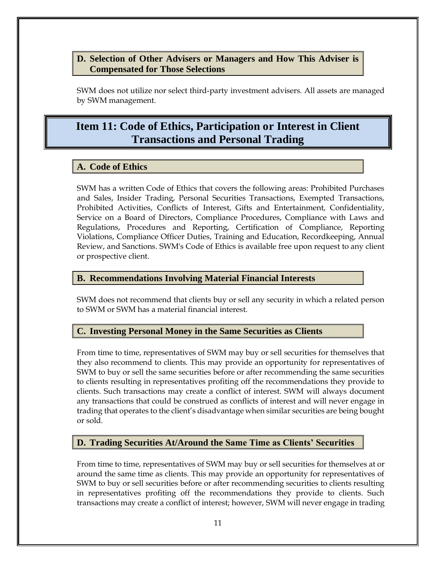### <span id="page-14-0"></span>**D. Selection of Other Advisers or Managers and How This Adviser is Compensated for Those Selections**

SWM does not utilize nor select third-party investment advisers. All assets are managed by SWM management.

### <span id="page-14-1"></span>**Item 11: Code of Ethics, Participation or Interest in Client Transactions and Personal Trading**

### <span id="page-14-2"></span>**A. Code of Ethics**

SWM has a written Code of Ethics that covers the following areas: Prohibited Purchases and Sales, Insider Trading, Personal Securities Transactions, Exempted Transactions, Prohibited Activities, Conflicts of Interest, Gifts and Entertainment, Confidentiality, Service on a Board of Directors, Compliance Procedures, Compliance with Laws and Regulations, Procedures and Reporting, Certification of Compliance, Reporting Violations, Compliance Officer Duties, Training and Education, Recordkeeping, Annual Review, and Sanctions. SWM's Code of Ethics is available free upon request to any client or prospective client.

#### <span id="page-14-3"></span>**B. Recommendations Involving Material Financial Interests**

SWM does not recommend that clients buy or sell any security in which a related person to SWM or SWM has a material financial interest.

#### <span id="page-14-4"></span>**C. Investing Personal Money in the Same Securities as Clients**

From time to time, representatives of SWM may buy or sell securities for themselves that they also recommend to clients. This may provide an opportunity for representatives of SWM to buy or sell the same securities before or after recommending the same securities to clients resulting in representatives profiting off the recommendations they provide to clients. Such transactions may create a conflict of interest. SWM will always document any transactions that could be construed as conflicts of interest and will never engage in trading that operates to the client's disadvantage when similar securities are being bought or sold.

### <span id="page-14-5"></span>**D. Trading Securities At/Around the Same Time as Clients' Securities**

From time to time, representatives of SWM may buy or sell securities for themselves at or around the same time as clients. This may provide an opportunity for representatives of SWM to buy or sell securities before or after recommending securities to clients resulting in representatives profiting off the recommendations they provide to clients. Such transactions may create a conflict of interest; however, SWM will never engage in trading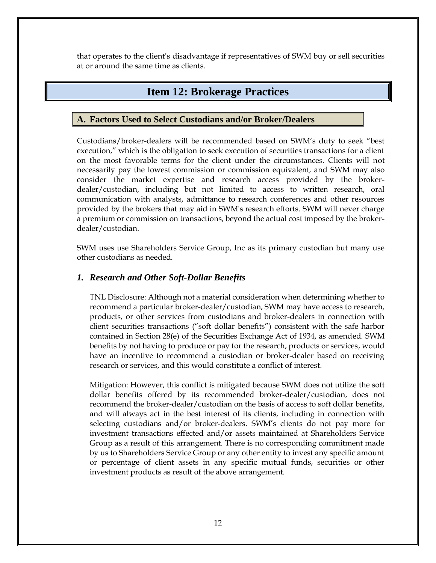<span id="page-15-0"></span>that operates to the client's disadvantage if representatives of SWM buy or sell securities at or around the same time as clients.

### **Item 12: Brokerage Practices**

#### <span id="page-15-1"></span>**A. Factors Used to Select Custodians and/or Broker/Dealers**

Custodians/broker-dealers will be recommended based on SWM's duty to seek "best execution," which is the obligation to seek execution of securities transactions for a client on the most favorable terms for the client under the circumstances. Clients will not necessarily pay the lowest commission or commission equivalent, and SWM may also consider the market expertise and research access provided by the brokerdealer/custodian, including but not limited to access to written research, oral communication with analysts, admittance to research conferences and other resources provided by the brokers that may aid in SWM's research efforts. SWM will never charge a premium or commission on transactions, beyond the actual cost imposed by the brokerdealer/custodian.

SWM uses use Shareholders Service Group, Inc as its primary custodian but many use other custodians as needed.

#### <span id="page-15-2"></span>*1. Research and Other Soft-Dollar Benefits*

TNL Disclosure: Although not a material consideration when determining whether to recommend a particular broker-dealer/custodian, SWM may have access to research, products, or other services from custodians and broker-dealers in connection with client securities transactions ("soft dollar benefits") consistent with the safe harbor contained in Section 28(e) of the Securities Exchange Act of 1934, as amended. SWM benefits by not having to produce or pay for the research, products or services, would have an incentive to recommend a custodian or broker-dealer based on receiving research or services, and this would constitute a conflict of interest.

Mitigation: However, this conflict is mitigated because SWM does not utilize the soft dollar benefits offered by its recommended broker-dealer/custodian, does not recommend the broker-dealer/custodian on the basis of access to soft dollar benefits, and will always act in the best interest of its clients, including in connection with selecting custodians and/or broker-dealers. SWM's clients do not pay more for investment transactions effected and/or assets maintained at Shareholders Service Group as a result of this arrangement. There is no corresponding commitment made by us to Shareholders Service Group or any other entity to invest any specific amount or percentage of client assets in any specific mutual funds, securities or other investment products as result of the above arrangement.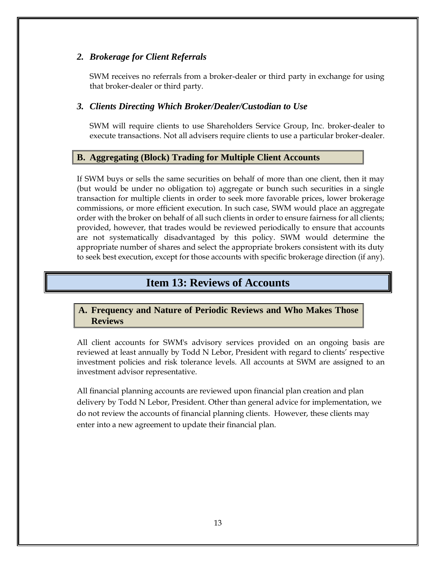#### <span id="page-16-0"></span>*2. Brokerage for Client Referrals*

SWM receives no referrals from a broker-dealer or third party in exchange for using that broker-dealer or third party.

#### <span id="page-16-1"></span>*3. Clients Directing Which Broker/Dealer/Custodian to Use*

SWM will require clients to use Shareholders Service Group, Inc. broker-dealer to execute transactions. Not all advisers require clients to use a particular broker-dealer.

### <span id="page-16-2"></span>**B. Aggregating (Block) Trading for Multiple Client Accounts**

If SWM buys or sells the same securities on behalf of more than one client, then it may (but would be under no obligation to) aggregate or bunch such securities in a single transaction for multiple clients in order to seek more favorable prices, lower brokerage commissions, or more efficient execution. In such case, SWM would place an aggregate order with the broker on behalf of all such clients in order to ensure fairness for all clients; provided, however, that trades would be reviewed periodically to ensure that accounts are not systematically disadvantaged by this policy. SWM would determine the appropriate number of shares and select the appropriate brokers consistent with its duty to seek best execution, except for those accounts with specific brokerage direction (if any).

### **Item 13: Reviews of Accounts**

### <span id="page-16-4"></span><span id="page-16-3"></span>**A. Frequency and Nature of Periodic Reviews and Who Makes Those Reviews**

All client accounts for SWM's advisory services provided on an ongoing basis are reviewed at least annually by Todd N Lebor, President with regard to clients' respective investment policies and risk tolerance levels. All accounts at SWM are assigned to an investment advisor representative.

All financial planning accounts are reviewed upon financial plan creation and plan delivery by Todd N Lebor, President. Other than general advice for implementation, we do not review the accounts of financial planning clients. However, these clients may enter into a new agreement to update their financial plan.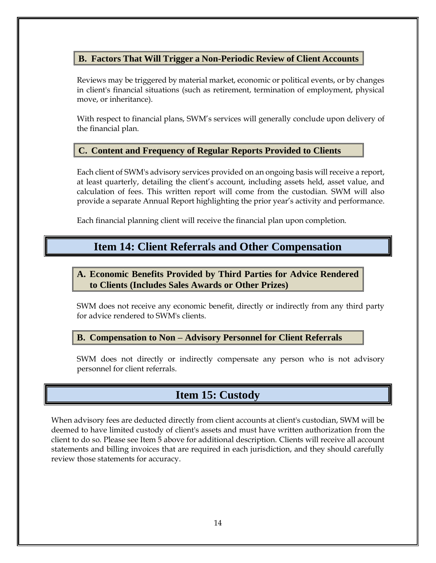### <span id="page-17-0"></span>**B. Factors That Will Trigger a Non-Periodic Review of Client Accounts**

Reviews may be triggered by material market, economic or political events, or by changes in client's financial situations (such as retirement, termination of employment, physical move, or inheritance).

With respect to financial plans, SWM's services will generally conclude upon delivery of the financial plan.

#### <span id="page-17-1"></span>**C. Content and Frequency of Regular Reports Provided to Clients**

Each client of SWM's advisory services provided on an ongoing basis will receive a report, at least quarterly, detailing the client's account, including assets held, asset value, and calculation of fees. This written report will come from the custodian. SWM will also provide a separate Annual Report highlighting the prior year's activity and performance.

<span id="page-17-2"></span>Each financial planning client will receive the financial plan upon completion.

### **Item 14: Client Referrals and Other Compensation**

### <span id="page-17-3"></span>**A. Economic Benefits Provided by Third Parties for Advice Rendered to Clients (Includes Sales Awards or Other Prizes)**

SWM does not receive any economic benefit, directly or indirectly from any third party for advice rendered to SWM's clients.

<span id="page-17-4"></span>**B. Compensation to Non – Advisory Personnel for Client Referrals**

SWM does not directly or indirectly compensate any person who is not advisory personnel for client referrals.

### **Item 15: Custody**

<span id="page-17-5"></span>When advisory fees are deducted directly from client accounts at client's custodian, SWM will be deemed to have limited custody of client's assets and must have written authorization from the client to do so. Please see Item 5 above for additional description. Clients will receive all account statements and billing invoices that are required in each jurisdiction, and they should carefully review those statements for accuracy.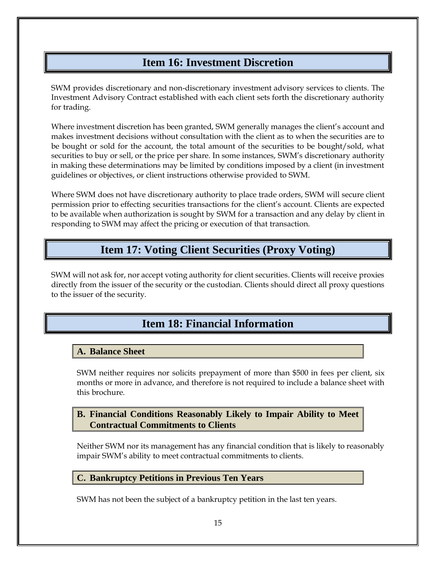### **Item 16: Investment Discretion**

<span id="page-18-0"></span>SWM provides discretionary and non-discretionary investment advisory services to clients. The Investment Advisory Contract established with each client sets forth the discretionary authority for trading.

Where investment discretion has been granted, SWM generally manages the client's account and makes investment decisions without consultation with the client as to when the securities are to be bought or sold for the account, the total amount of the securities to be bought/sold, what securities to buy or sell, or the price per share. In some instances, SWM's discretionary authority in making these determinations may be limited by conditions imposed by a client (in investment guidelines or objectives, or client instructions otherwise provided to SWM.

Where SWM does not have discretionary authority to place trade orders, SWM will secure client permission prior to effecting securities transactions for the client's account. Clients are expected to be available when authorization is sought by SWM for a transaction and any delay by client in responding to SWM may affect the pricing or execution of that transaction.

### **Item 17: Voting Client Securities (Proxy Voting)**

<span id="page-18-2"></span><span id="page-18-1"></span>SWM will not ask for, nor accept voting authority for client securities. Clients will receive proxies directly from the issuer of the security or the custodian. Clients should direct all proxy questions to the issuer of the security.

# **Item 18: Financial Information**

### <span id="page-18-3"></span>**A. Balance Sheet**

SWM neither requires nor solicits prepayment of more than \$500 in fees per client, six months or more in advance, and therefore is not required to include a balance sheet with this brochure.

### <span id="page-18-4"></span>**B. Financial Conditions Reasonably Likely to Impair Ability to Meet Contractual Commitments to Clients**

Neither SWM nor its management has any financial condition that is likely to reasonably impair SWM's ability to meet contractual commitments to clients.

### <span id="page-18-5"></span>**C. Bankruptcy Petitions in Previous Ten Years**

SWM has not been the subject of a bankruptcy petition in the last ten years.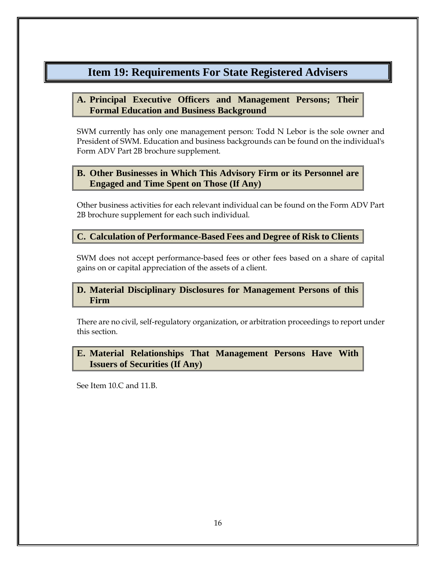### <span id="page-19-0"></span>**Item 19: Requirements For State Registered Advisers**

### <span id="page-19-1"></span>**A. Principal Executive Officers and Management Persons; Their Formal Education and Business Background**

SWM currently has only one management person: Todd N Lebor is the sole owner and President of SWM. Education and business backgrounds can be found on the individual's Form ADV Part 2B brochure supplement.

### <span id="page-19-2"></span>**B. Other Businesses in Which This Advisory Firm or its Personnel are Engaged and Time Spent on Those (If Any)**

Other business activities for each relevant individual can be found on the Form ADV Part 2B brochure supplement for each such individual.

### <span id="page-19-3"></span>**C. Calculation of Performance-Based Fees and Degree of Risk to Clients**

SWM does not accept performance-based fees or other fees based on a share of capital gains on or capital appreciation of the assets of a client.

### <span id="page-19-4"></span>**D. Material Disciplinary Disclosures for Management Persons of this Firm**

There are no civil, self-regulatory organization, or arbitration proceedings to report under this section.

### <span id="page-19-5"></span>**E. Material Relationships That Management Persons Have With Issuers of Securities (If Any)**

See Item 10.C and 11.B.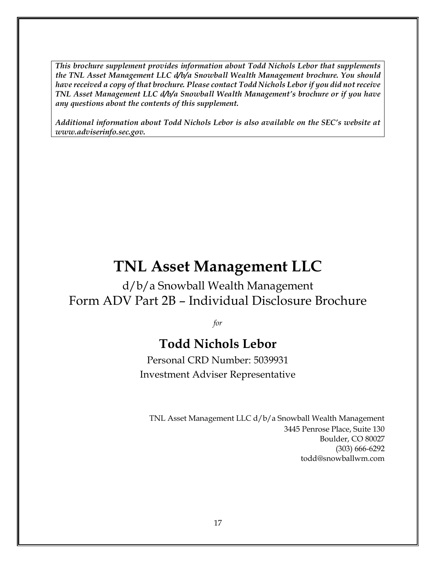*This brochure supplement provides information about Todd Nichols Lebor that supplements the TNL Asset Management LLC d/b/a Snowball Wealth Management brochure. You should have received a copy of that brochure. Please contact Todd Nichols Lebor if you did not receive TNL Asset Management LLC d/b/a Snowball Wealth Management's brochure or if you have any questions about the contents of this supplement.*

*Additional information about Todd Nichols Lebor is also available on the SEC's website at www.adviserinfo.sec.gov.*

# **TNL Asset Management LLC**

d/b/a Snowball Wealth Management Form ADV Part 2B – Individual Disclosure Brochure

*for*

# **Todd Nichols Lebor**

Personal CRD Number: 5039931 Investment Adviser Representative

TNL Asset Management LLC d/b/a Snowball Wealth Management 3445 Penrose Place, Suite 130 Boulder, CO 80027 (303) 666-6292 [todd@snowballwm.com](mailto:todd@snowballwm.com)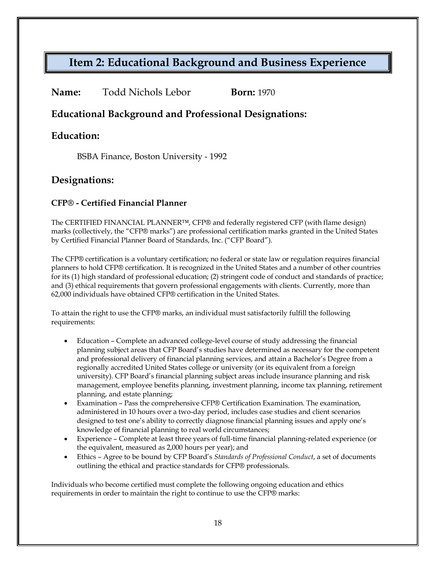## <span id="page-21-0"></span>**Item 2: Educational Background and Business Experience**

| <b>Born:</b> 1970 |
|-------------------|
|                   |

### **Educational Background and Professional Designations:**

### **Education:**

BSBA Finance, Boston University - 1992

### **Designations:**

#### **CFP® - Certified Financial Planner**

The CERTIFIED FINANCIAL PLANNER™, CFP® and federally registered CFP (with flame design) marks (collectively, the "CFP® marks") are professional certification marks granted in the United States by Certified Financial Planner Board of Standards, Inc. ("CFP Board").

The CFP® certification is a voluntary certification; no federal or state law or regulation requires financial planners to hold CFP® certification. It is recognized in the United States and a number of other countries for its (1) high standard of professional education; (2) stringent code of conduct and standards of practice; and (3) ethical requirements that govern professional engagements with clients. Currently, more than 62,000 individuals have obtained CFP® certification in the United States.

To attain the right to use the CFP® marks, an individual must satisfactorily fulfill the following requirements:

- Education Complete an advanced college-level course of study addressing the financial planning subject areas that CFP Board's studies have determined as necessary for the competent and professional delivery of financial planning services, and attain a Bachelor's Degree from a regionally accredited United States college or university (or its equivalent from a foreign university). CFP Board's financial planning subject areas include insurance planning and risk management, employee benefits planning, investment planning, income tax planning, retirement planning, and estate planning;
- Examination Pass the comprehensive CFP® Certification Examination. The examination, administered in 10 hours over a two-day period, includes case studies and client scenarios designed to test one's ability to correctly diagnose financial planning issues and apply one's knowledge of financial planning to real world circumstances;
- Experience Complete at least three years of full-time financial planning-related experience (or the equivalent, measured as 2,000 hours per year); and
- Ethics Agree to be bound by CFP Board's *Standards of Professional Conduct*, a set of documents outlining the ethical and practice standards for CFP® professionals.

Individuals who become certified must complete the following ongoing education and ethics requirements in order to maintain the right to continue to use the CFP® marks: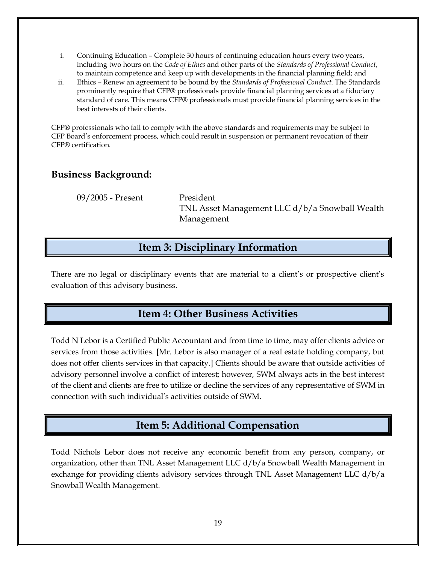- i. Continuing Education Complete 30 hours of continuing education hours every two years, including two hours on the *Code of Ethics* and other parts of the *Standards of Professional Conduct*, to maintain competence and keep up with developments in the financial planning field; and
- ii. Ethics Renew an agreement to be bound by the *Standards of Professional Conduct*. The Standards prominently require that CFP® professionals provide financial planning services at a fiduciary standard of care. This means CFP® professionals must provide financial planning services in the best interests of their clients.

CFP® professionals who fail to comply with the above standards and requirements may be subject to CFP Board's enforcement process, which could result in suspension or permanent revocation of their CFP® certification.

### **Business Background:**

09/2005 - Present President

TNL Asset Management LLC d/b/a Snowball Wealth Management

### **Item 3: Disciplinary Information**

<span id="page-22-0"></span>There are no legal or disciplinary events that are material to a client's or prospective client's evaluation of this advisory business.

### **Item 4: Other Business Activities**

<span id="page-22-1"></span>Todd N Lebor is a Certified Public Accountant and from time to time, may offer clients advice or services from those activities. [Mr. Lebor is also manager of a real estate holding company, but does not offer clients services in that capacity.] Clients should be aware that outside activities of advisory personnel involve a conflict of interest; however, SWM always acts in the best interest of the client and clients are free to utilize or decline the services of any representative of SWM in connection with such individual's activities outside of SWM.

### **Item 5: Additional Compensation**

<span id="page-22-2"></span>Todd Nichols Lebor does not receive any economic benefit from any person, company, or organization, other than TNL Asset Management LLC d/b/a Snowball Wealth Management in exchange for providing clients advisory services through TNL Asset Management LLC  $d/b/a$ Snowball Wealth Management.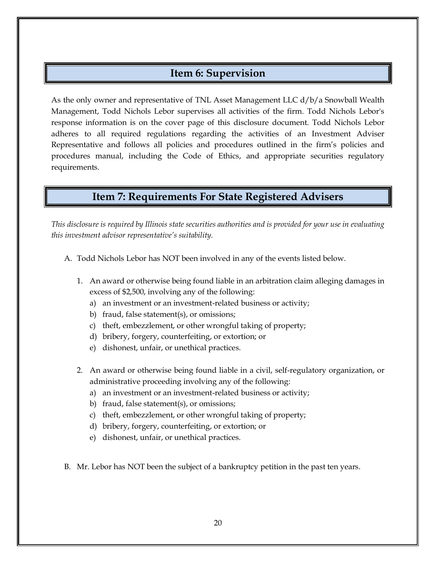### **Item 6: Supervision**

<span id="page-23-0"></span>As the only owner and representative of TNL Asset Management LLC d/b/a Snowball Wealth Management, Todd Nichols Lebor supervises all activities of the firm. Todd Nichols Lebor's response information is on the cover page of this disclosure document. Todd Nichols Lebor adheres to all required regulations regarding the activities of an Investment Adviser Representative and follows all policies and procedures outlined in the firm's policies and procedures manual, including the Code of Ethics, and appropriate securities regulatory requirements.

### **Item 7: Requirements For State Registered Advisers**

<span id="page-23-1"></span>*This disclosure is required by Illinois state securities authorities and is provided for your use in evaluating this investment advisor representative's suitability.*

- A. Todd Nichols Lebor has NOT been involved in any of the events listed below.
	- 1. An award or otherwise being found liable in an arbitration claim alleging damages in excess of \$2,500, involving any of the following:
		- a) an investment or an investment-related business or activity;
		- b) fraud, false statement(s), or omissions;
		- c) theft, embezzlement, or other wrongful taking of property;
		- d) bribery, forgery, counterfeiting, or extortion; or
		- e) dishonest, unfair, or unethical practices.
	- 2. An award or otherwise being found liable in a civil, self-regulatory organization, or administrative proceeding involving any of the following:
		- a) an investment or an investment-related business or activity;
		- b) fraud, false statement(s), or omissions;
		- c) theft, embezzlement, or other wrongful taking of property;
		- d) bribery, forgery, counterfeiting, or extortion; or
		- e) dishonest, unfair, or unethical practices.
- B. Mr. Lebor has NOT been the subject of a bankruptcy petition in the past ten years.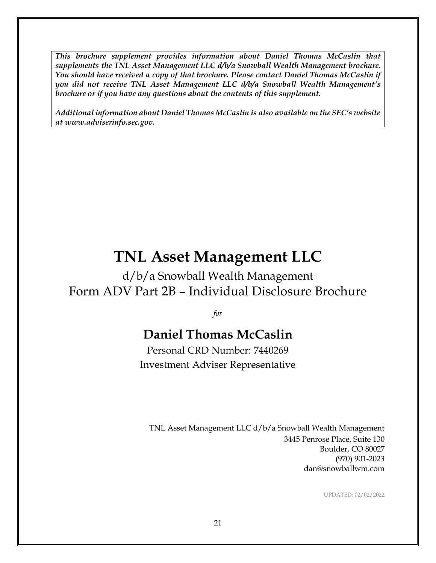*This brochure supplement provides information about Daniel Thomas McCaslin that supplements the TNL Asset Management LLC d/b/a Snowball Wealth Management brochure. You should have received a copy of that brochure. Please contact Daniel Thomas McCaslin if you did not receive TNL Asset Management LLC d/b/a Snowball Wealth Management's brochure or if you have any questions about the contents of this supplement.*

*Additional information about Daniel Thomas McCaslin is also available on the SEC's website at www.adviserinfo.sec.gov.*

# **TNL Asset Management LLC**

d/b/a Snowball Wealth Management Form ADV Part 2B – Individual Disclosure Brochure

*for*

# **Daniel Thomas McCaslin**

Personal CRD Number: 7440269 Investment Adviser Representative

TNL Asset Management LLC d/b/a Snowball Wealth Management 3445 Penrose Place, Suite 130 Boulder, CO 80027 (970) 901-2023 dan@snowballwm.com

UPDATED: 02/02/2022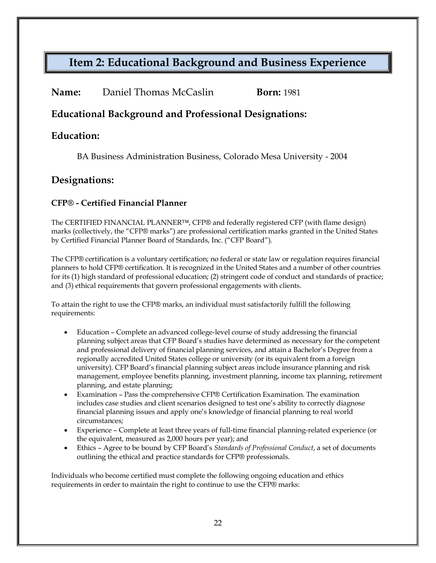## **Item 2: Educational Background and Business Experience**

| <b>Born:</b> 1981 |
|-------------------|
|                   |

### **Educational Background and Professional Designations:**

### **Education:**

BA Business Administration Business, Colorado Mesa University - 2004

### **Designations:**

#### **CFP® - Certified Financial Planner**

The CERTIFIED FINANCIAL PLANNER™, CFP® and federally registered CFP (with flame design) marks (collectively, the "CFP® marks") are professional certification marks granted in the United States by Certified Financial Planner Board of Standards, Inc. ("CFP Board").

The CFP® certification is a voluntary certification; no federal or state law or regulation requires financial planners to hold CFP® certification. It is recognized in the United States and a number of other countries for its (1) high standard of professional education; (2) stringent code of conduct and standards of practice; and (3) ethical requirements that govern professional engagements with clients.

To attain the right to use the CFP® marks, an individual must satisfactorily fulfill the following requirements:

- Education Complete an advanced college-level course of study addressing the financial planning subject areas that CFP Board's studies have determined as necessary for the competent and professional delivery of financial planning services, and attain a Bachelor's Degree from a regionally accredited United States college or university (or its equivalent from a foreign university). CFP Board's financial planning subject areas include insurance planning and risk management, employee benefits planning, investment planning, income tax planning, retirement planning, and estate planning;
- Examination Pass the comprehensive CFP® Certification Examination. The examination includes case studies and client scenarios designed to test one's ability to correctly diagnose financial planning issues and apply one's knowledge of financial planning to real world circumstances;
- Experience Complete at least three years of full-time financial planning-related experience (or the equivalent, measured as 2,000 hours per year); and
- Ethics Agree to be bound by CFP Board's *Standards of Professional Conduct*, a set of documents outlining the ethical and practice standards for CFP® professionals.

Individuals who become certified must complete the following ongoing education and ethics requirements in order to maintain the right to continue to use the CFP® marks: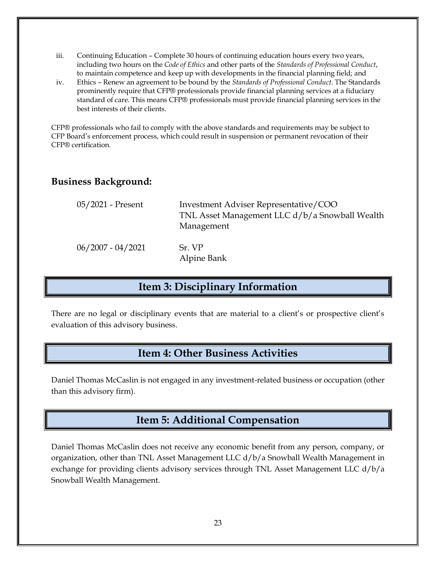- iii. Continuing Education Complete 30 hours of continuing education hours every two years, including two hours on the *Code of Ethics* and other parts of the *Standards of Professional Conduct*, to maintain competence and keep up with developments in the financial planning field; and
- iv. Ethics Renew an agreement to be bound by the *Standards of Professional Conduct*. The Standards prominently require that CFP® professionals provide financial planning services at a fiduciary standard of care. This means CFP® professionals must provide financial planning services in the best interests of their clients.

CFP® professionals who fail to comply with the above standards and requirements may be subject to CFP Board's enforcement process, which could result in suspension or permanent revocation of their CFP® certification.

### **Business Background:**

| 05/2021 - Present   | Investment Adviser Representative/COO<br>TNL Asset Management LLC d/b/a Snowball Wealth<br>Management |
|---------------------|-------------------------------------------------------------------------------------------------------|
| $06/2007 - 04/2021$ | Sr. VP<br>Alpine Bank                                                                                 |

### **Item 3: Disciplinary Information**

There are no legal or disciplinary events that are material to a client's or prospective client's evaluation of this advisory business.

### **Item 4: Other Business Activities**

Daniel Thomas McCaslin is not engaged in any investment-related business or occupation (other than this advisory firm).

### **Item 5: Additional Compensation**

Daniel Thomas McCaslin does not receive any economic benefit from any person, company, or organization, other than TNL Asset Management LLC d/b/a Snowball Wealth Management in exchange for providing clients advisory services through TNL Asset Management LLC d/b/a Snowball Wealth Management.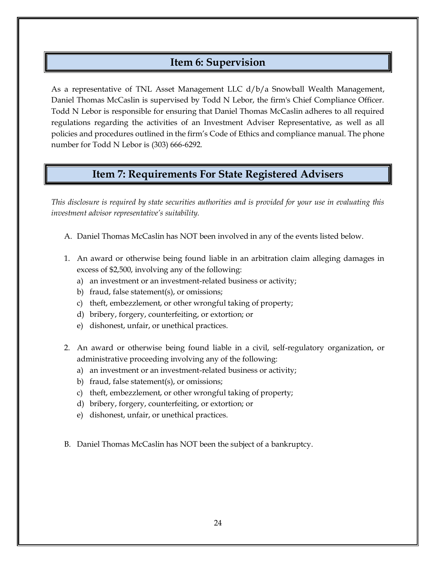### **Item 6: Supervision**

As a representative of TNL Asset Management LLC d/b/a Snowball Wealth Management, Daniel Thomas McCaslin is supervised by Todd N Lebor, the firm's Chief Compliance Officer. Todd N Lebor is responsible for ensuring that Daniel Thomas McCaslin adheres to all required regulations regarding the activities of an Investment Adviser Representative, as well as all policies and procedures outlined in the firm's Code of Ethics and compliance manual. The phone number for Todd N Lebor is (303) 666-6292.

### **Item 7: Requirements For State Registered Advisers**

*This disclosure is required by state securities authorities and is provided for your use in evaluating this investment advisor representative's suitability.*

- A. Daniel Thomas McCaslin has NOT been involved in any of the events listed below.
- 1. An award or otherwise being found liable in an arbitration claim alleging damages in excess of \$2,500, involving any of the following:
	- a) an investment or an investment-related business or activity;
	- b) fraud, false statement(s), or omissions;
	- c) theft, embezzlement, or other wrongful taking of property;
	- d) bribery, forgery, counterfeiting, or extortion; or
	- e) dishonest, unfair, or unethical practices.
- 2. An award or otherwise being found liable in a civil, self-regulatory organization, or administrative proceeding involving any of the following:
	- a) an investment or an investment-related business or activity;
	- b) fraud, false statement(s), or omissions;
	- c) theft, embezzlement, or other wrongful taking of property;
	- d) bribery, forgery, counterfeiting, or extortion; or
	- e) dishonest, unfair, or unethical practices.
- B. Daniel Thomas McCaslin has NOT been the subject of a bankruptcy.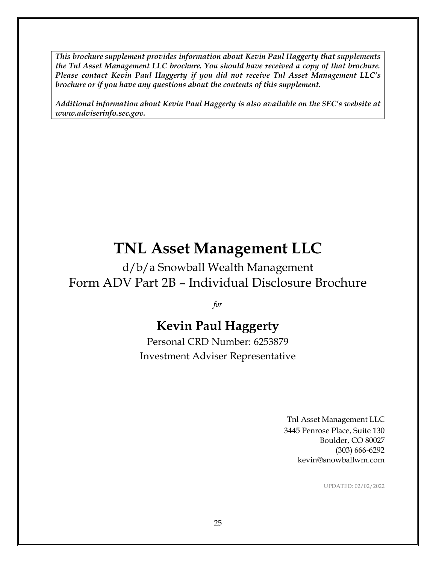*This brochure supplement provides information about Kevin Paul Haggerty that supplements the Tnl Asset Management LLC brochure. You should have received a copy of that brochure. Please contact Kevin Paul Haggerty if you did not receive Tnl Asset Management LLC's brochure or if you have any questions about the contents of this supplement.*

*Additional information about Kevin Paul Haggerty is also available on the SEC's website at www.adviserinfo.sec.gov.*

# **TNL Asset Management LLC**

d/b/a Snowball Wealth Management Form ADV Part 2B – Individual Disclosure Brochure

*for*

# **Kevin Paul Haggerty**

Personal CRD Number: 6253879 Investment Adviser Representative

> Tnl Asset Management LLC 3445 Penrose Place, Suite 130 Boulder, CO 80027 (303) 666-6292 kevin@snowballwm.com

> > UPDATED: 02/02/2022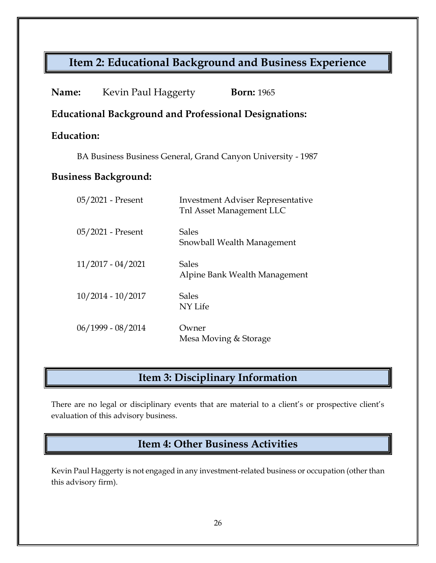# **Item 2: Educational Background and Business Experience**

| <b>Name:</b>                                                 | Kevin Paul Haggerty | <b>Born:</b> 1965                                                    |  |  |  |
|--------------------------------------------------------------|---------------------|----------------------------------------------------------------------|--|--|--|
| <b>Educational Background and Professional Designations:</b> |                     |                                                                      |  |  |  |
| Education:                                                   |                     |                                                                      |  |  |  |
| BA Business Business General, Grand Canyon University - 1987 |                     |                                                                      |  |  |  |
| <b>Business Background:</b>                                  |                     |                                                                      |  |  |  |
|                                                              | 05/2021 - Present   | <b>Investment Adviser Representative</b><br>Tnl Asset Management LLC |  |  |  |
|                                                              | 05/2021 - Present   | <b>Sales</b><br>Snowball Wealth Management                           |  |  |  |
|                                                              | $11/2017 - 04/2021$ | <b>Sales</b><br>Alpine Bank Wealth Management                        |  |  |  |
|                                                              | $10/2014 - 10/2017$ | <b>Sales</b><br>NY Life                                              |  |  |  |
|                                                              | $06/1999 - 08/2014$ | Owner<br>Mesa Moving & Storage                                       |  |  |  |

# **Item 3: Disciplinary Information**

There are no legal or disciplinary events that are material to a client's or prospective client's evaluation of this advisory business.

### **Item 4: Other Business Activities**

Kevin Paul Haggerty is not engaged in any investment-related business or occupation (other than this advisory firm).